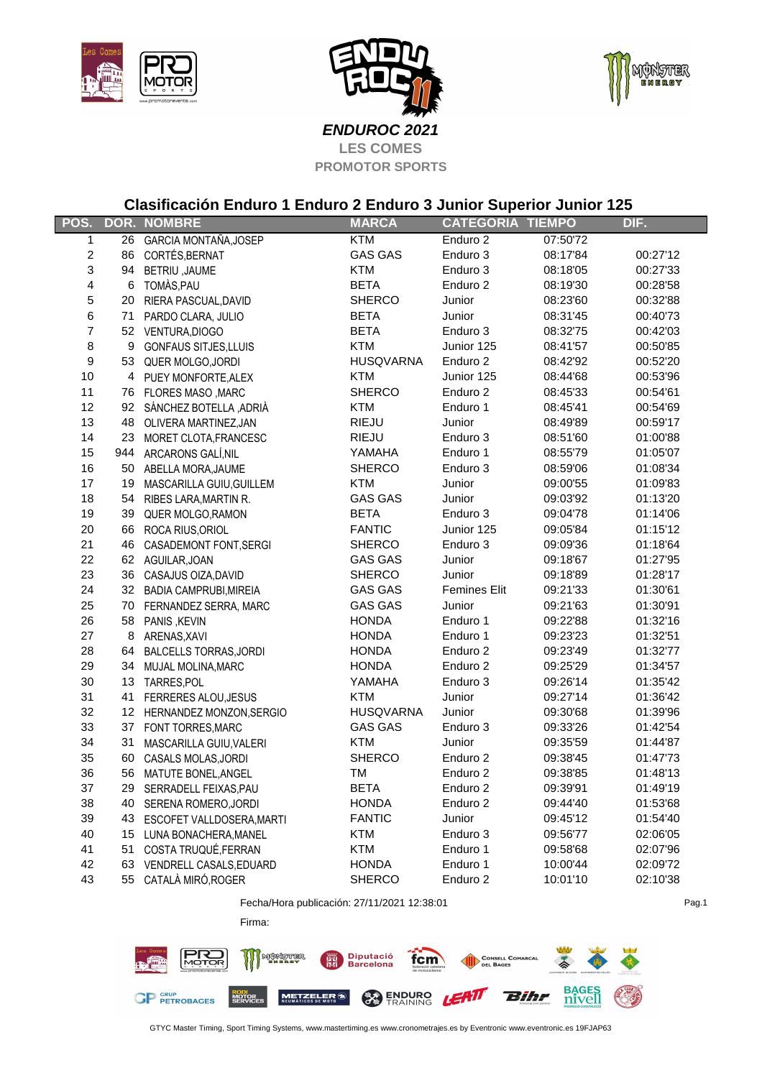





Pag.1

**LES COMES PROMOTOR SPORTS ENDUROC 2021**

## **Clasificación Enduro 1 Enduro 2 Enduro 3 Junior Superior Junior 125**

| POS.                    |    | <b>DOR. NOMBRE</b>           | <b>MARCA</b>     | <b>CATEGORIA</b>    | <b>TIEMPO</b> | DIF.     |
|-------------------------|----|------------------------------|------------------|---------------------|---------------|----------|
| $\mathbf{1}$            | 26 | GARCIA MONTAÑA, JOSEP        | <b>KTM</b>       | Enduro 2            | 07:50'72      |          |
| $\boldsymbol{2}$        |    | 86 CORTÉS, BERNAT            | <b>GAS GAS</b>   | Enduro 3            | 08:17'84      | 00:27'12 |
| 3                       |    | 94 BETRIU, JAUME             | <b>KTM</b>       | Enduro 3            | 08:18'05      | 00:27'33 |
| $\overline{\mathbf{4}}$ |    | 6 TOMÀS, PAU                 | <b>BETA</b>      | Enduro 2            | 08:19'30      | 00:28'58 |
| 5                       |    | 20 RIERA PASCUAL, DAVID      | <b>SHERCO</b>    | Junior              | 08:23'60      | 00:32'88 |
| 6                       |    | 71 PARDO CLARA, JULIO        | <b>BETA</b>      | Junior              | 08:31'45      | 00:40'73 |
| $\overline{7}$          |    | 52 VENTURA, DIOGO            | <b>BETA</b>      | Enduro 3            | 08:32'75      | 00:42'03 |
| $\bf8$                  |    | 9 GONFAUS SITJES, LLUIS      | <b>KTM</b>       | Junior 125          | 08:41'57      | 00:50'85 |
| $\boldsymbol{9}$        |    | 53 QUER MOLGO, JORDI         | <b>HUSQVARNA</b> | Enduro 2            | 08:42'92      | 00:52'20 |
| 10                      |    | 4 PUEY MONFORTE, ALEX        | <b>KTM</b>       | Junior 125          | 08:44'68      | 00:53'96 |
| 11                      |    | 76 FLORES MASO, MARC         | <b>SHERCO</b>    | Enduro 2            | 08:45'33      | 00:54'61 |
| 12                      |    | 92 SÁNCHEZ BOTELLA ,ADRIÀ    | KTM              | Enduro 1            | 08:45'41      | 00:54'69 |
| 13                      |    | 48 OLIVERA MARTINEZ, JAN     | RIEJU            | Junior              | 08:49'89      | 00:59'17 |
| 14                      |    | 23 MORET CLOTA, FRANCESC     | RIEJU            | Enduro 3            | 08:51'60      | 01:00'88 |
| 15                      |    | 944 ARCARONS GALÍ, NIL       | YAMAHA           | Enduro 1            | 08:55'79      | 01:05'07 |
| 16                      |    | 50 ABELLA MORA, JAUME        | <b>SHERCO</b>    | Enduro 3            | 08:59'06      | 01:08'34 |
| 17                      |    | 19 MASCARILLA GUIU, GUILLEM  | <b>KTM</b>       | Junior              | 09:00'55      | 01:09'83 |
| 18                      |    | 54 RIBES LARA, MARTIN R.     | <b>GAS GAS</b>   | Junior              | 09:03'92      | 01:13'20 |
| 19                      |    | 39 QUER MOLGO, RAMON         | <b>BETA</b>      | Enduro 3            | 09:04'78      | 01:14'06 |
| 20                      |    | 66 ROCA RIUS, ORIOL          | <b>FANTIC</b>    | Junior 125          | 09:05'84      | 01:15'12 |
| 21                      |    | 46 CASADEMONT FONT, SERGI    | <b>SHERCO</b>    | Enduro 3            | 09:09'36      | 01:18'64 |
| 22                      |    | 62 AGUILAR, JOAN             | GAS GAS          | Junior              | 09:18'67      | 01:27'95 |
| 23                      |    | 36 CASAJUS OIZA, DAVID       | <b>SHERCO</b>    | Junior              | 09:18'89      | 01:28'17 |
| 24                      |    | 32 BADIA CAMPRUBI, MIREIA    | <b>GAS GAS</b>   | <b>Femines Elit</b> | 09:21'33      | 01:30'61 |
| 25                      |    | 70 FERNANDEZ SERRA, MARC     | <b>GAS GAS</b>   | Junior              | 09:21'63      | 01:30'91 |
| 26                      |    | 58 PANIS, KEVIN              | <b>HONDA</b>     | Enduro 1            | 09:22'88      | 01:32'16 |
| 27                      |    | 8 ARENAS, XAVI               | <b>HONDA</b>     | Enduro 1            | 09:23'23      | 01:32'51 |
| 28                      |    | 64 BALCELLS TORRAS, JORDI    | <b>HONDA</b>     | Enduro 2            | 09:23'49      | 01:32'77 |
| 29                      |    | 34 MUJAL MOLINA, MARC        | <b>HONDA</b>     | Enduro 2            | 09:25'29      | 01:34'57 |
| 30                      |    | 13 TARRES, POL               | YAMAHA           | Enduro 3            | 09:26'14      | 01:35'42 |
| 31                      |    | 41 FERRERES ALOU, JESUS      | <b>KTM</b>       | Junior              | 09:27'14      | 01:36'42 |
| 32                      |    | 12 HERNANDEZ MONZON, SERGIO  | <b>HUSQVARNA</b> | Junior              | 09:30'68      | 01:39'96 |
| 33                      |    | 37 FONT TORRES, MARC         | <b>GAS GAS</b>   | Enduro 3            | 09:33'26      | 01:42'54 |
| 34                      |    | 31 MASCARILLA GUIU, VALERI   | <b>KTM</b>       | Junior              | 09:35'59      | 01:44'87 |
| 35                      |    | 60 CASALS MOLAS, JORDI       | <b>SHERCO</b>    | Enduro 2            | 09:38'45      | 01:47'73 |
| 36                      |    | 56 MATUTE BONEL, ANGEL       | TM               | Enduro 2            | 09:38'85      | 01:48'13 |
| 37                      |    | 29 SERRADELL FEIXAS, PAU     | <b>BETA</b>      | Enduro 2            | 09:39'91      | 01:49'19 |
| 38                      |    | 40 SERENA ROMERO, JORDI      | <b>HONDA</b>     | Enduro 2            | 09:44'40      | 01:53'68 |
| 39                      |    | 43 ESCOFET VALLDOSERA, MARTI | <b>FANTIC</b>    | Junior              | 09:45'12      | 01:54'40 |
| 40                      |    | 15 LUNA BONACHERA, MANEL     | <b>KTM</b>       | Enduro 3            | 09:56'77      | 02:06'05 |
| 41                      |    | 51 COSTA TRUQUÉ, FERRAN      | <b>KTM</b>       | Enduro 1            | 09:58'68      | 02:07'96 |
| 42                      |    | 63 VENDRELL CASALS, EDUARD   | <b>HONDA</b>     | Enduro 1            | 10:00'44      | 02:09'72 |
| 43                      | 55 | CATALÀ MIRÓ,ROGER            | <b>SHERCO</b>    | Enduro 2            | 10:01'10      | 02:10'38 |

Fecha/Hora publicación: 27/11/2021 12:38:01

Firma:



GTYC Master Timing, Sport Timing Systems, www.mastertiming.es www.cronometrajes.es by Eventronic www.eventronic.es 19FJAP63